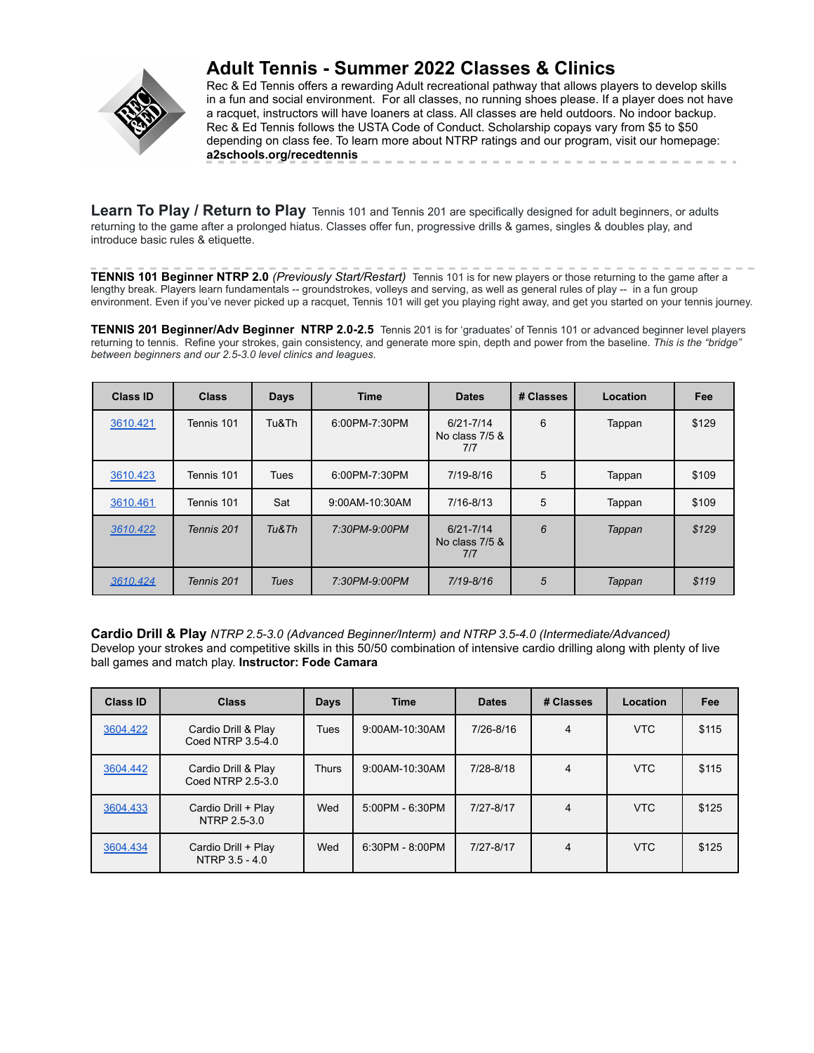

# **Adult Tennis - Summer 2022 Classes & Clinics**

Rec & Ed Tennis offers a rewarding Adult recreational pathway that allows players to develop skills in a fun and social environment. For all classes, no running shoes please. If a player does not have a racquet, instructors will have loaners at class. All classes are held outdoors. No indoor backup. Rec & Ed Tennis follows the USTA Code of Conduct. Scholarship copays vary from \$5 to \$50 depending on class fee. To learn more about NTRP ratings and our program, visit our homepage: **a2schools.org/recedtennis** and the control of the control of the control of

**Learn To Play / Return to Play** Tennis 101 and Tennis 201 are specifically designed for adult beginners, or adults returning to the game after a prolonged hiatus. Classes offer fun, progressive drills & games, singles & doubles play, and introduce basic rules & etiquette.

**TENNIS 101 Beginner NTRP 2.0** *(Previously Start/Restart)* Tennis 101 is for new players or those returning to the game after a lengthy break. Players learn fundamentals -- groundstrokes, volleys and serving, as well as general rules of play -- in a fun group environment. Even if you've never picked up a racquet, Tennis 101 will get you playing right away, and get you started on your tennis journey.

**TENNIS 201 Beginner/Adv Beginner NTRP 2.0-2.5** Tennis 201 is for 'graduates' of Tennis 101 or advanced beginner level players returning to tennis. Refine your strokes, gain consistency, and generate more spin, depth and power from the baseline. *This is the "bridge" between beginners and our 2.5-3.0 level clinics and leagues.*

| <b>Class ID</b> | <b>Class</b> | <b>Days</b> | <b>Time</b>    | <b>Dates</b>                           | # Classes | Location | Fee   |
|-----------------|--------------|-------------|----------------|----------------------------------------|-----------|----------|-------|
| 3610.421        | Tennis 101   | Tu&Th       | 6:00PM-7:30PM  | $6/21 - 7/14$<br>No class 7/5 &<br>7/7 | 6         | Tappan   | \$129 |
| 3610.423        | Tennis 101   | Tues        | 6:00PM-7:30PM  | 7/19-8/16                              | 5         | Tappan   | \$109 |
| 3610.461        | Tennis 101   | Sat         | 9:00AM-10:30AM | 7/16-8/13                              | 5         | Tappan   | \$109 |
| 3610.422        | Tennis 201   | Tu&Th       | 7:30PM-9:00PM  | $6/21 - 7/14$<br>No class 7/5 &<br>7/7 | 6         | Tappan   | \$129 |
| 3610.424        | Tennis 201   | Tues        | 7:30PM-9:00PM  | 7/19-8/16                              | 5         | Tappan   | \$119 |

**Cardio Drill & Play** *NTRP 2.5-3.0 (Advanced Beginner/Interm) and NTRP 3.5-4.0 (Intermediate/Advanced)* Develop your strokes and competitive skills in this 50/50 combination of intensive cardio drilling along with plenty of live ball games and match play. **Instructor: Fode Camara**

| <b>Class ID</b> | <b>Class</b>                             | <b>Days</b>  | <b>Time</b>       | <b>Dates</b> | # Classes      | Location   | Fee   |
|-----------------|------------------------------------------|--------------|-------------------|--------------|----------------|------------|-------|
| 3604.422        | Cardio Drill & Play<br>Coed NTRP 3.5-4.0 | <b>Tues</b>  | 9:00AM-10:30AM    | 7/26-8/16    | $\overline{4}$ | <b>VTC</b> | \$115 |
| 3604.442        | Cardio Drill & Play<br>Coed NTRP 2.5-3.0 | <b>Thurs</b> | 9:00AM-10:30AM    | 7/28-8/18    | $\overline{4}$ | <b>VTC</b> | \$115 |
| 3604.433        | Cardio Drill + Play<br>NTRP 2.5-3.0      | Wed          | $5:00PM - 6:30PM$ | 7/27-8/17    | 4              | <b>VTC</b> | \$125 |
| 3604.434        | Cardio Drill + Play<br>NTRP 3.5 - 4.0    | Wed          | $6:30PM - 8:00PM$ | 7/27-8/17    | 4              | <b>VTC</b> | \$125 |